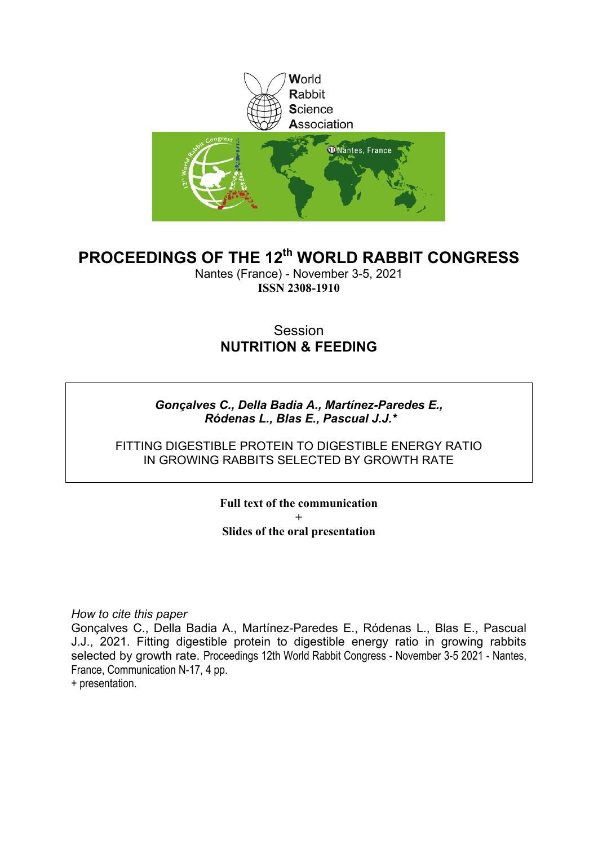

#### **PROCEEDINGS OF THE 12th WORLD RABBIT CONGRESS**

Nantes (France) - November 3-5, 2021 **ISSN 2308-1910**

#### Session **NUTRITION & FEEDING**

*Gonçalves C., Della Badia A., Martínez-Paredes E., Ródenas L., Blas E., Pascual J.J.\**

FITTING DIGESTIBLE PROTEIN TO DIGESTIBLE ENERGY RATIO IN GROWING RABBITS SELECTED BY GROWTH RATE

> **Full text of the communication + Slides of the oral presentation**

*How to cite this paper*

Gonçalves C., Della Badia A., Martínez-Paredes E., Ródenas L., Blas E., Pascual J.J., 2021. Fitting digestible protein to digestible energy ratio in growing rabbits selected by growth rate. Proceedings 12th World Rabbit Congress - November 3-5 2021 - Nantes, France, Communication N-17, 4 pp.

+ presentation.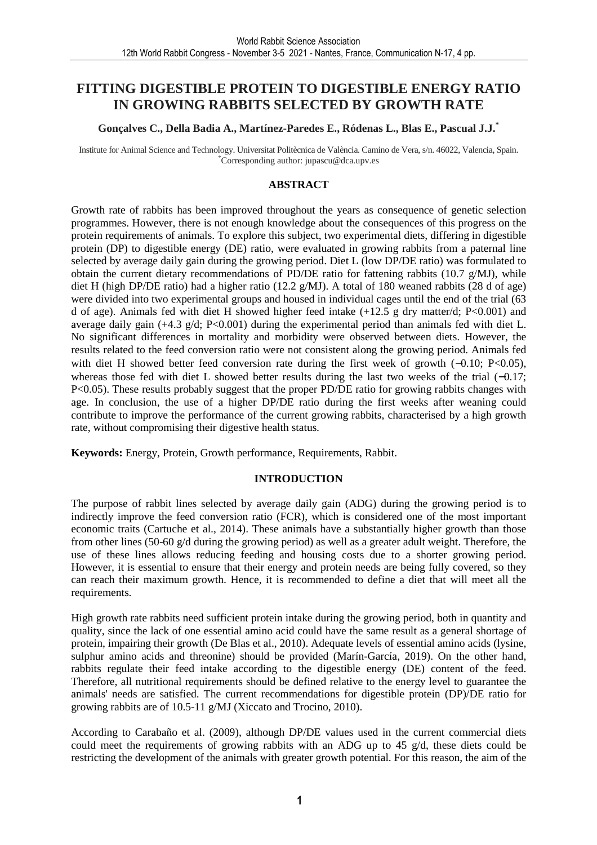#### **FITTING DIGESTIBLE PROTEIN TO DIGESTIBLE ENERGY RATIO IN GROWING RABBITS SELECTED BY GROWTH RATE**

#### **Gonçalves C., Della Badia A., Martínez-Paredes E., Ródenas L., Blas E., Pascual J.J.\***

Institute for Animal Science and Technology. Universitat Politècnica de València. Camino de Vera, s/n. 46022, Valencia, Spain. \*Corresponding author: jupascu@dca.upv.es

#### **ABSTRACT**

Growth rate of rabbits has been improved throughout the years as consequence of genetic selection programmes. However, there is not enough knowledge about the consequences of this progress on the protein requirements of animals. To explore this subject, two experimental diets, differing in digestible protein (DP) to digestible energy (DE) ratio, were evaluated in growing rabbits from a paternal line selected by average daily gain during the growing period. Diet L (low DP/DE ratio) was formulated to obtain the current dietary recommendations of PD/DE ratio for fattening rabbits (10.7  $g$ /MJ), while diet H (high DP/DE ratio) had a higher ratio (12.2 g/MJ). A total of 180 weaned rabbits (28 d of age) were divided into two experimental groups and housed in individual cages until the end of the trial (63 d of age). Animals fed with diet H showed higher feed intake (+12.5 g dry matter/d; P<0.001) and average daily gain  $(+4.3 \text{ g/d}; P<0.001)$  during the experimental period than animals fed with diet L. No significant differences in mortality and morbidity were observed between diets. However, the results related to the feed conversion ratio were not consistent along the growing period. Animals fed with diet H showed better feed conversion rate during the first week of growth (−0.10; P<0.05), whereas those fed with diet L showed better results during the last two weeks of the trial (−0.17; P<0.05). These results probably suggest that the proper PD/DE ratio for growing rabbits changes with age. In conclusion, the use of a higher DP/DE ratio during the first weeks after weaning could contribute to improve the performance of the current growing rabbits, characterised by a high growth rate, without compromising their digestive health status.

**Keywords:** Energy, Protein, Growth performance, Requirements, Rabbit.

#### **INTRODUCTION**

The purpose of rabbit lines selected by average daily gain (ADG) during the growing period is to indirectly improve the feed conversion ratio (FCR), which is considered one of the most important economic traits (Cartuche et al., 2014). These animals have a substantially higher growth than those from other lines (50-60 g/d during the growing period) as well as a greater adult weight. Therefore, the use of these lines allows reducing feeding and housing costs due to a shorter growing period. However, it is essential to ensure that their energy and protein needs are being fully covered, so they can reach their maximum growth. Hence, it is recommended to define a diet that will meet all the requirements.

High growth rate rabbits need sufficient protein intake during the growing period, both in quantity and quality, since the lack of one essential amino acid could have the same result as a general shortage of protein, impairing their growth (De Blas et al., 2010). Adequate levels of essential amino acids (lysine, sulphur amino acids and threonine) should be provided (Marín-García, 2019). On the other hand, rabbits regulate their feed intake according to the digestible energy (DE) content of the feed. Therefore, all nutritional requirements should be defined relative to the energy level to guarantee the animals' needs are satisfied. The current recommendations for digestible protein (DP)/DE ratio for growing rabbits are of 10.5-11 g/MJ (Xiccato and Trocino, 2010).

According to Carabaño et al. (2009), although DP/DE values used in the current commercial diets could meet the requirements of growing rabbits with an ADG up to 45 g/d, these diets could be restricting the development of the animals with greater growth potential. For this reason, the aim of the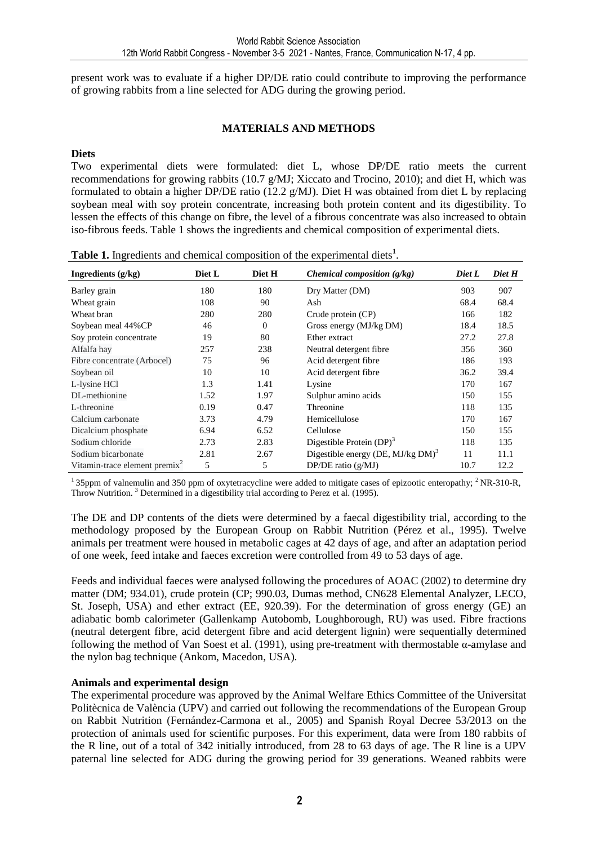present work was to evaluate if a higher DP/DE ratio could contribute to improving the performance of growing rabbits from a line selected for ADG during the growing period.

#### **MATERIALS AND METHODS**

#### **Diets**

Two experimental diets were formulated: diet L, whose DP/DE ratio meets the current recommendations for growing rabbits (10.7 g/MJ; Xiccato and Trocino, 2010); and diet H, which was formulated to obtain a higher DP/DE ratio (12.2 g/MJ). Diet H was obtained from diet L by replacing soybean meal with soy protein concentrate, increasing both protein content and its digestibility. To lessen the effects of this change on fibre, the level of a fibrous concentrate was also increased to obtain iso-fibrous feeds. Table 1 shows the ingredients and chemical composition of experimental diets.

| Ingredients (g/kg)               | Diet L | Diet H   | <i>Chemical composition</i> $(g/kg)$             | Diet L | Diet H |
|----------------------------------|--------|----------|--------------------------------------------------|--------|--------|
| Barley grain                     | 180    | 180      | Dry Matter (DM)                                  | 903    | 907    |
| Wheat grain                      | 108    | 90       | Ash                                              | 68.4   | 68.4   |
| Wheat bran                       | 280    | 280      | Crude protein (CP)                               | 166    | 182    |
| Soybean meal 44%CP               | 46     | $\Omega$ | Gross energy (MJ/kg DM)                          | 18.4   | 18.5   |
| Soy protein concentrate          | 19     | 80       | Ether extract                                    | 27.2   | 27.8   |
| Alfalfa hay                      | 257    | 238      | Neutral detergent fibre                          | 356    | 360    |
| Fibre concentrate (Arbocel)      | 75     | 96       | Acid detergent fibre                             | 186    | 193    |
| Soybean oil                      | 10     | 10       | Acid detergent fibre                             | 36.2   | 39.4   |
| L-lysine HCl                     | 1.3    | 1.41     | Lysine                                           | 170    | 167    |
| DL-methionine                    | 1.52   | 1.97     | Sulphur amino acids                              | 150    | 155    |
| L-threonine                      | 0.19   | 0.47     | Threonine                                        | 118    | 135    |
| Calcium carbonate                | 3.73   | 4.79     | Hemicellulose                                    | 170    | 167    |
| Dicalcium phosphate              | 6.94   | 6.52     | Cellulose                                        | 150    | 155    |
| Sodium chloride                  | 2.73   | 2.83     | Digestible Protein $(DP)^3$                      | 118    | 135    |
| Sodium bicarbonate               | 2.81   | 2.67     | Digestible energy (DE, MJ/kg $DM$ ) <sup>3</sup> | 11     | 11.1   |
| Vitamin-trace element premix $2$ | 5      | 5        | DP/DE ratio $(g/MJ)$                             | 10.7   | 12.2   |

Table 1. Ingredients and chemical composition of the experimental diets<sup>1</sup>.

 $135$ ppm of valnemulin and 350 ppm of oxytetracycline were added to mitigate cases of epizootic enteropathy;  $2NR-310-R$ , Throw Nutrition.<sup>3</sup> Determined in a digestibility trial according to Perez et al. (1995).

The DE and DP contents of the diets were determined by a faecal digestibility trial, according to the methodology proposed by the European Group on Rabbit Nutrition (Pérez et al., 1995). Twelve animals per treatment were housed in metabolic cages at 42 days of age, and after an adaptation period of one week, feed intake and faeces excretion were controlled from 49 to 53 days of age.

Feeds and individual faeces were analysed following the procedures of AOAC (2002) to determine dry matter (DM; 934.01), crude protein (CP; 990.03, Dumas method, CN628 Elemental Analyzer, LECO, St. Joseph, USA) and ether extract (EE, 920.39). For the determination of gross energy (GE) an adiabatic bomb calorimeter (Gallenkamp Autobomb, Loughborough, RU) was used. Fibre fractions (neutral detergent fibre, acid detergent fibre and acid detergent lignin) were sequentially determined following the method of Van Soest et al. (1991), using pre-treatment with thermostable α-amylase and the nylon bag technique (Ankom, Macedon, USA).

#### **Animals and experimental design**

The experimental procedure was approved by the Animal Welfare Ethics Committee of the Universitat Politècnica de València (UPV) and carried out following the recommendations of the European Group on Rabbit Nutrition (Fernández-Carmona et al., 2005) and Spanish Royal Decree 53/2013 on the protection of animals used for scientific purposes. For this experiment, data were from 180 rabbits of the R line, out of a total of 342 initially introduced, from 28 to 63 days of age. The R line is a UPV paternal line selected for ADG during the growing period for 39 generations. Weaned rabbits were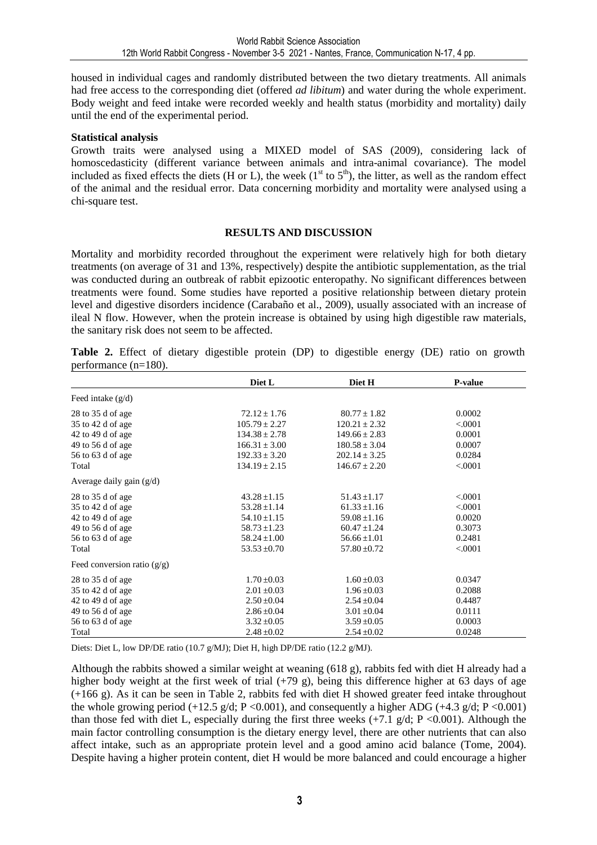housed in individual cages and randomly distributed between the two dietary treatments. All animals had free access to the corresponding diet (offered *ad libitum*) and water during the whole experiment. Body weight and feed intake were recorded weekly and health status (morbidity and mortality) daily until the end of the experimental period.

#### **Statistical analysis**

Growth traits were analysed using a MIXED model of SAS (2009), considering lack of homoscedasticity (different variance between animals and intra-animal covariance). The model included as fixed effects the diets (H or L), the week ( $1<sup>st</sup>$  to  $5<sup>th</sup>$ ), the litter, as well as the random effect of the animal and the residual error. Data concerning morbidity and mortality were analysed using a chi-square test.

#### **RESULTS AND DISCUSSION**

Mortality and morbidity recorded throughout the experiment were relatively high for both dietary treatments (on average of 31 and 13%, respectively) despite the antibiotic supplementation, as the trial was conducted during an outbreak of rabbit epizootic enteropathy. No significant differences between treatments were found. Some studies have reported a positive relationship between dietary protein level and digestive disorders incidence (Carabaño et al., 2009), usually associated with an increase of ileal N flow. However, when the protein increase is obtained by using high digestible raw materials, the sanitary risk does not seem to be affected.

**Table 2.** Effect of dietary digestible protein (DP) to digestible energy (DE) ratio on growth performance (n=180).

|                               | Diet L            | Diet H            | P-value |
|-------------------------------|-------------------|-------------------|---------|
| Feed intake $(g/d)$           |                   |                   |         |
| 28 to 35 d of age             | $72.12 \pm 1.76$  | $80.77 + 1.82$    | 0.0002  |
| 35 to 42 d of age             | $105.79 \pm 2.27$ | $120.21 \pm 2.32$ | < 0.001 |
| 42 to 49 d of age             | $134.38 \pm 2.78$ | $149.66 \pm 2.83$ | 0.0001  |
| 49 to 56 d of age             | $166.31 \pm 3.00$ | $180.58 \pm 3.04$ | 0.0007  |
| 56 to 63 d of age             | $192.33 \pm 3.20$ | $202.14 \pm 3.25$ | 0.0284  |
| Total                         | $134.19 \pm 2.15$ | $146.67 \pm 2.20$ | < 0001  |
| Average daily gain $(g/d)$    |                   |                   |         |
| 28 to 35 d of age             | $43.28 \pm 1.15$  | $51.43 + 1.17$    | < 0001  |
| 35 to 42 d of age             | $53.28 \pm 1.14$  | $61.33 \pm 1.16$  | < 0.001 |
| 42 to 49 d of age             | $54.10 \pm 1.15$  | $59.08 \pm 1.16$  | 0.0020  |
| 49 to 56 d of age             | $58.73 \pm 1.23$  | $60.47 \pm 1.24$  | 0.3073  |
| 56 to 63 d of age             | $58.24 \pm 1.00$  | $56.66 \pm 1.01$  | 0.2481  |
| Total                         | $53.53 \pm 0.70$  | $57.80 \pm 0.72$  | < 0001  |
| Feed conversion ratio $(g/g)$ |                   |                   |         |
| 28 to 35 d of age             | $1.70 \pm 0.03$   | $1.60 \pm 0.03$   | 0.0347  |
| 35 to 42 d of age             | $2.01 \pm 0.03$   | $1.96 \pm 0.03$   | 0.2088  |
| 42 to 49 d of age             | $2.50 \pm 0.04$   | $2.54 \pm 0.04$   | 0.4487  |
| 49 to 56 d of age             | $2.86 \pm 0.04$   | $3.01 \pm 0.04$   | 0.0111  |
| 56 to 63 d of age             | $3.32 \pm 0.05$   | $3.59 \pm 0.05$   | 0.0003  |
| Total                         | $2.48 \pm 0.02$   | $2.54 \pm 0.02$   | 0.0248  |

Diets: Diet L, low DP/DE ratio (10.7 g/MJ); Diet H, high DP/DE ratio (12.2 g/MJ).

Although the rabbits showed a similar weight at weaning (618 g), rabbits fed with diet H already had a higher body weight at the first week of trial  $(+79 \text{ g})$ , being this difference higher at 63 days of age (+166 g). As it can be seen in Table 2, rabbits fed with diet H showed greater feed intake throughout the whole growing period (+12.5 g/d; P < 0.001), and consequently a higher ADG (+4.3 g/d; P < 0.001) than those fed with diet L, especially during the first three weeks  $(+7.1 \text{ g/d}; P < 0.001)$ . Although the main factor controlling consumption is the dietary energy level, there are other nutrients that can also affect intake, such as an appropriate protein level and a good amino acid balance (Tome, 2004). Despite having a higher protein content, diet H would be more balanced and could encourage a higher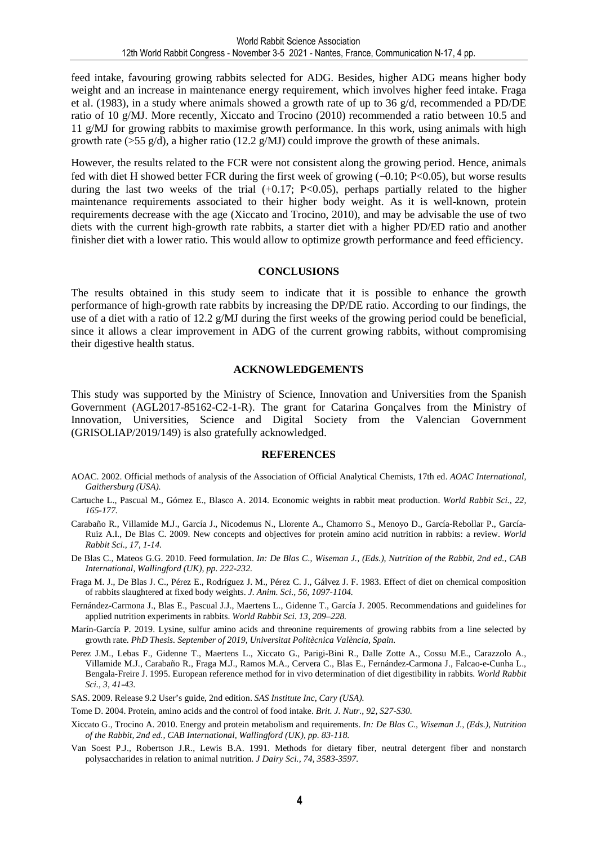feed intake, favouring growing rabbits selected for ADG. Besides, higher ADG means higher body weight and an increase in maintenance energy requirement, which involves higher feed intake. Fraga et al. (1983), in a study where animals showed a growth rate of up to 36 g/d, recommended a PD/DE ratio of 10 g/MJ. More recently, Xiccato and Trocino (2010) recommended a ratio between 10.5 and 11 g/MJ for growing rabbits to maximise growth performance. In this work, using animals with high growth rate (>55 g/d), a higher ratio (12.2 g/MJ) could improve the growth of these animals.

However, the results related to the FCR were not consistent along the growing period. Hence, animals fed with diet H showed better FCR during the first week of growing (−0.10; P<0.05), but worse results during the last two weeks of the trial  $(+0.17; P<0.05)$ , perhaps partially related to the higher maintenance requirements associated to their higher body weight. As it is well-known, protein requirements decrease with the age (Xiccato and Trocino, 2010), and may be advisable the use of two diets with the current high-growth rate rabbits, a starter diet with a higher PD/ED ratio and another finisher diet with a lower ratio. This would allow to optimize growth performance and feed efficiency.

#### **CONCLUSIONS**

The results obtained in this study seem to indicate that it is possible to enhance the growth performance of high-growth rate rabbits by increasing the DP/DE ratio. According to our findings, the use of a diet with a ratio of 12.2 g/MJ during the first weeks of the growing period could be beneficial, since it allows a clear improvement in ADG of the current growing rabbits, without compromising their digestive health status.

#### **ACKNOWLEDGEMENTS**

This study was supported by the Ministry of Science, Innovation and Universities from the Spanish Government (AGL2017-85162-C2-1-R). The grant for Catarina Gonçalves from the Ministry of Innovation, Universities, Science and Digital Society from the Valencian Government (GRISOLIAP/2019/149) is also gratefully acknowledged.

#### **REFERENCES**

- AOAC. 2002. Official methods of analysis of the Association of Official Analytical Chemists, 17th ed. *AOAC International, Gaithersburg (USA).*
- Cartuche L., Pascual M., Gómez E., Blasco A. 2014. Economic weights in rabbit meat production. *World Rabbit Sci., 22, 165-177.*
- Carabaño R., Villamide M.J., García J., Nicodemus N., Llorente A., Chamorro S., Menoyo D., García-Rebollar P., García-Ruiz A.I., De Blas C. 2009. New concepts and objectives for protein amino acid nutrition in rabbits: a review. *World Rabbit Sci., 17, 1-14.*
- De Blas C., Mateos G.G. 2010. Feed formulation. *In: De Blas C., Wiseman J., (Eds.), Nutrition of the Rabbit, 2nd ed., CAB International, Wallingford (UK), pp. 222-232.*
- Fraga M. J., De Blas J. C., Pérez E., Rodríguez J. M., Pérez C. J., Gálvez J. F. 1983. Effect of diet on chemical composition of rabbits slaughtered at fixed body weights. *J. Anim. Sci., 56, 1097-1104.*
- Fernández-Carmona J., Blas E., Pascual J.J., Maertens L., Gidenne T., García J. 2005. Recommendations and guidelines for applied nutrition experiments in rabbits. *World Rabbit Sci. 13, 209–228.*
- Marín-García P. 2019. Lysine, sulfur amino acids and threonine requirements of growing rabbits from a line selected by growth rate. *PhD Thesis. September of 2019, Universitat Politècnica València, Spain.*
- Perez J.M., Lebas F., Gidenne T., Maertens L., Xiccato G., Parigi-Bini R., Dalle Zotte A., Cossu M.E., Carazzolo A., Villamide M.J., Carabaño R., Fraga M.J., Ramos M.A., Cervera C., Blas E., Fernández-Carmona J., Falcao-e-Cunha L., Bengala-Freire J. 1995. European reference method for in vivo determination of diet digestibility in rabbits. *World Rabbit Sci., 3, 41-43.*
- SAS. 2009. Release 9.2 User's guide, 2nd edition. *SAS Institute Inc, Cary (USA).*
- Tome D. 2004. Protein, amino acids and the control of food intake. *Brit. J. Nutr., 92, S27-S30.*
- Xiccato G., Trocino A. 2010. Energy and protein metabolism and requirements. *In: De Blas C., Wiseman J., (Eds.), Nutrition of the Rabbit, 2nd ed., CAB International, Wallingford (UK), pp. 83-118.*
- Van Soest P.J., Robertson J.R., Lewis B.A. 1991. Methods for dietary fiber, neutral detergent fiber and nonstarch polysaccharides in relation to animal nutrition*. J Dairy Sci., 74, 3583-3597.*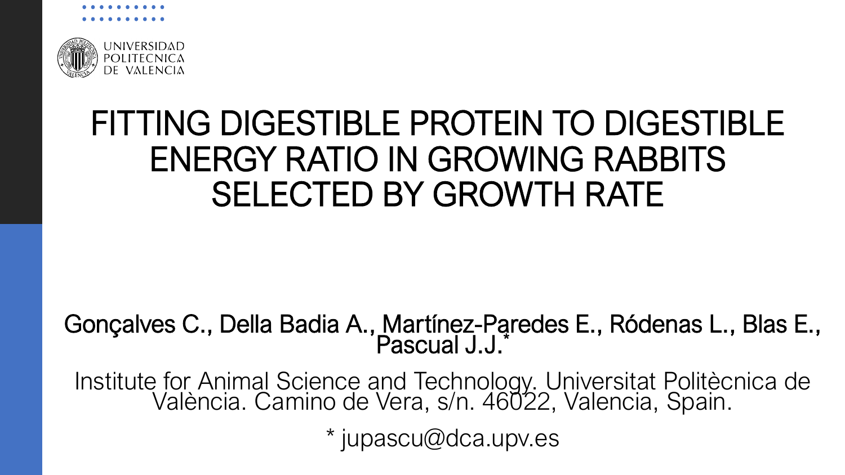

### FITTING DIGESTIBLE PROTEIN TO DIGESTIBLE ENERGY RATIO IN GROWING RABBITS SELECTED BY GROWTH RATE

#### Gonçalves C., Della Badia A., Martínez-Paredes E., Ródenas L., Blas E., Pascual J.J.\*

Institute for Animal Science and Technology. Universitat Politècnica de València. Camino de Vera, s/n. 46022, Valencia, Spain.

\* jupascu@dca.upv.es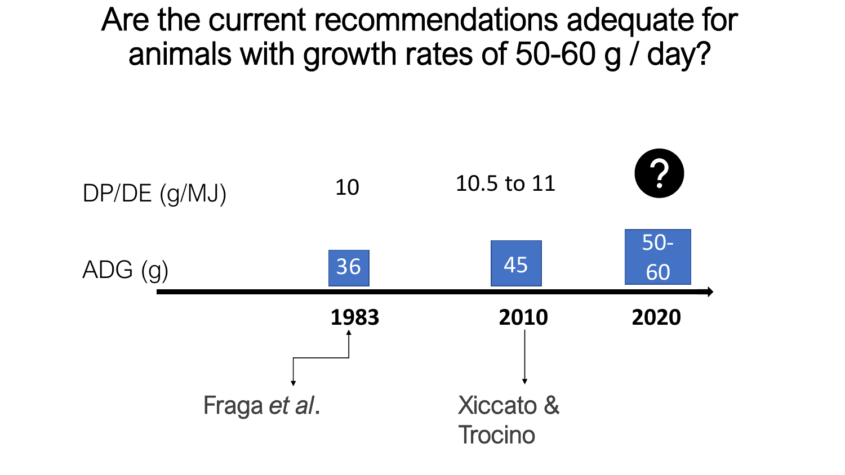Are the current recommendations adequate for animals with growth rates of 50-60 g / day?

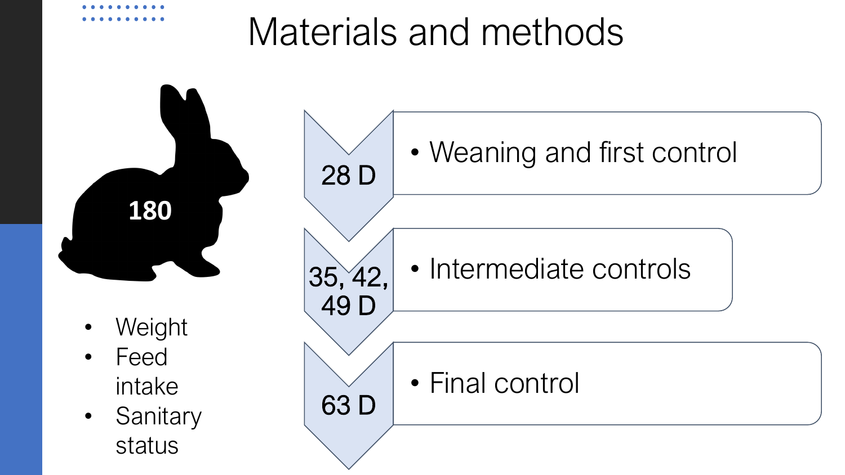## Materials and methods

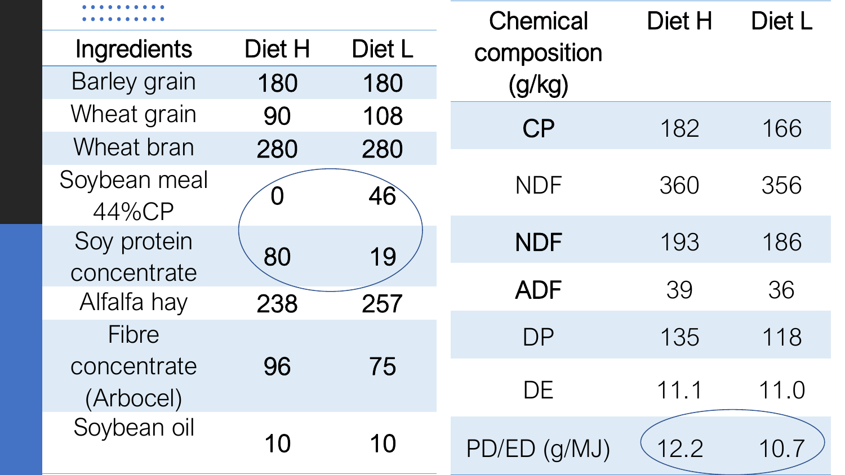|                          |        |        | <b>Chemical</b> | Diet H | Diet L |
|--------------------------|--------|--------|-----------------|--------|--------|
| Ingredients              | Diet H | Diet L | composition     |        |        |
| <b>Barley grain</b>      | 180    | 180    | (g/kg)          |        |        |
| Wheat grain              | 90     | 108    | <b>CP</b>       | 182    | 166    |
| Wheat bran               | 280    | 280    |                 |        |        |
| Soybean meal<br>44%CP    | O      | 46     | <b>NDF</b>      | 360    | 356    |
| Soy protein              | 80     | 19     | <b>NDF</b>      | 193    | 186    |
| concentrate              |        |        | <b>ADF</b>      | 39     | 36     |
| Alfalfa hay              | 238    | 257    |                 |        |        |
| <b>Fibre</b>             |        |        | <b>DP</b>       | 135    | 118    |
| concentrate<br>(Arbocel) | 96     | 75     | DE              | 11.1   | 11.0   |
| Soybean oil              | 10     | 10     | PD/ED (g/MJ)    | 12.2   | 10.7   |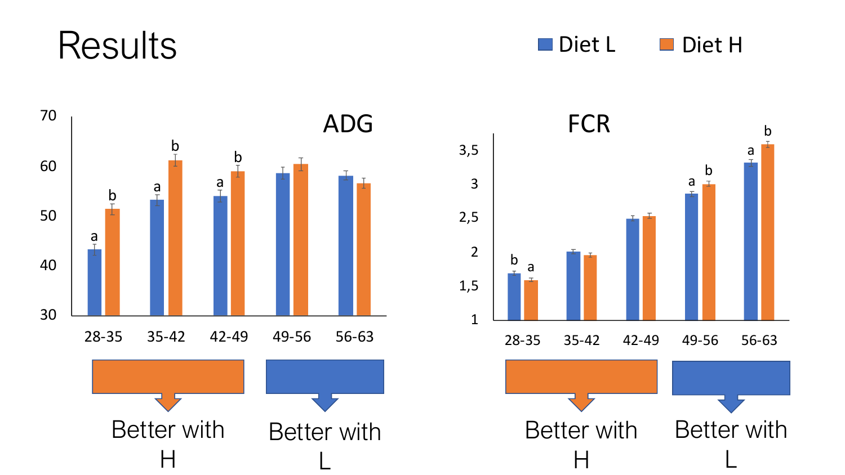## Results

Diet L Diet H

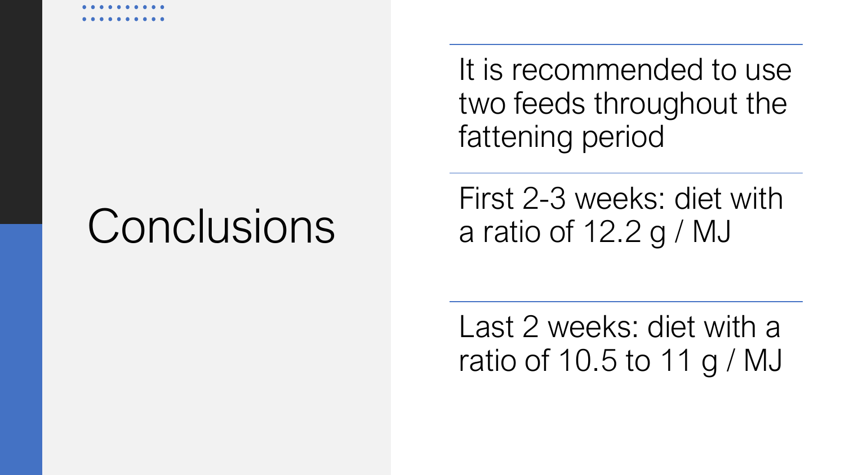## Conclusions

It is recommended to use two feeds throughout the fattening period

First 2-3 weeks: diet with a ratio of 12.2 g / MJ

Last 2 weeks: diet with a ratio of 10.5 to 11 g / MJ